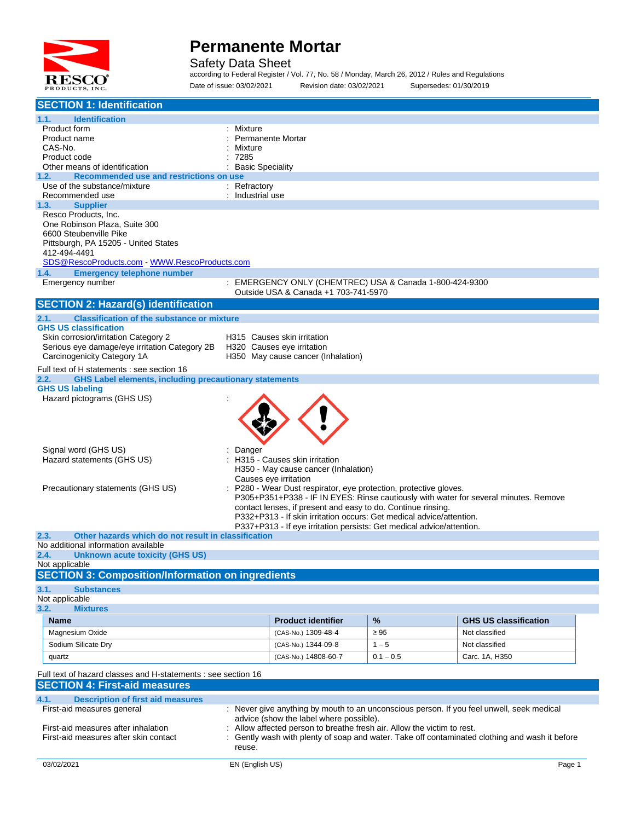

Safety Data Sheet

according to Federal Register / Vol. 77, No. 58 / Monday, March 26, 2012 / Rules and Regulations Date of issue: 03/02/2021 Revision date: 03/02/2021 Supersedes: 01/30/2019

| <b>SECTION 1: Identification</b>                                                                                                     |                         |                                                                                                                                      |             |                                                                                              |        |
|--------------------------------------------------------------------------------------------------------------------------------------|-------------------------|--------------------------------------------------------------------------------------------------------------------------------------|-------------|----------------------------------------------------------------------------------------------|--------|
| 1.1.<br><b>Identification</b>                                                                                                        |                         |                                                                                                                                      |             |                                                                                              |        |
| Product form<br>Product name                                                                                                         | Mixture                 | Permanente Mortar                                                                                                                    |             |                                                                                              |        |
| CAS-No.                                                                                                                              | Mixture                 |                                                                                                                                      |             |                                                                                              |        |
| Product code                                                                                                                         | 7285                    |                                                                                                                                      |             |                                                                                              |        |
| Other means of identification                                                                                                        | <b>Basic Speciality</b> |                                                                                                                                      |             |                                                                                              |        |
| Recommended use and restrictions on use<br>1.2.                                                                                      |                         |                                                                                                                                      |             |                                                                                              |        |
| Use of the substance/mixture                                                                                                         | : Refractory            |                                                                                                                                      |             |                                                                                              |        |
| Recommended use<br><b>Supplier</b><br>1.3.                                                                                           | : Industrial use        |                                                                                                                                      |             |                                                                                              |        |
| Resco Products, Inc.                                                                                                                 |                         |                                                                                                                                      |             |                                                                                              |        |
| One Robinson Plaza, Suite 300                                                                                                        |                         |                                                                                                                                      |             |                                                                                              |        |
| 6600 Steubenville Pike                                                                                                               |                         |                                                                                                                                      |             |                                                                                              |        |
| Pittsburgh, PA 15205 - United States                                                                                                 |                         |                                                                                                                                      |             |                                                                                              |        |
| 412-494-4491                                                                                                                         |                         |                                                                                                                                      |             |                                                                                              |        |
| SDS@RescoProducts.com WWW.RescoProducts.com                                                                                          |                         |                                                                                                                                      |             |                                                                                              |        |
| 1.4.<br><b>Emergency telephone number</b><br>Emergency number                                                                        |                         | : EMERGENCY ONLY (CHEMTREC) USA & Canada 1-800-424-9300                                                                              |             |                                                                                              |        |
|                                                                                                                                      |                         | Outside USA & Canada +1 703-741-5970                                                                                                 |             |                                                                                              |        |
| <b>SECTION 2: Hazard(s) identification</b>                                                                                           |                         |                                                                                                                                      |             |                                                                                              |        |
| <b>Classification of the substance or mixture</b><br>2.1.                                                                            |                         |                                                                                                                                      |             |                                                                                              |        |
| <b>GHS US classification</b>                                                                                                         |                         |                                                                                                                                      |             |                                                                                              |        |
| Skin corrosion/irritation Category 2                                                                                                 |                         | H315 Causes skin irritation                                                                                                          |             |                                                                                              |        |
| Serious eye damage/eye irritation Category 2B                                                                                        |                         | H320 Causes eye irritation                                                                                                           |             |                                                                                              |        |
| Carcinogenicity Category 1A                                                                                                          |                         | H350 May cause cancer (Inhalation)                                                                                                   |             |                                                                                              |        |
| Full text of H statements : see section 16                                                                                           |                         |                                                                                                                                      |             |                                                                                              |        |
| <b>GHS Label elements, including precautionary statements</b><br>2.2.                                                                |                         |                                                                                                                                      |             |                                                                                              |        |
| <b>GHS US labeling</b>                                                                                                               |                         |                                                                                                                                      |             |                                                                                              |        |
| Hazard pictograms (GHS US)                                                                                                           |                         |                                                                                                                                      |             |                                                                                              |        |
|                                                                                                                                      |                         |                                                                                                                                      |             |                                                                                              |        |
|                                                                                                                                      |                         |                                                                                                                                      |             |                                                                                              |        |
|                                                                                                                                      |                         |                                                                                                                                      |             |                                                                                              |        |
| Signal word (GHS US)                                                                                                                 | Danger                  |                                                                                                                                      |             |                                                                                              |        |
| Hazard statements (GHS US)                                                                                                           |                         | : H315 - Causes skin irritation                                                                                                      |             |                                                                                              |        |
|                                                                                                                                      |                         | H350 - May cause cancer (Inhalation)                                                                                                 |             |                                                                                              |        |
|                                                                                                                                      |                         | Causes eye irritation                                                                                                                |             |                                                                                              |        |
| Precautionary statements (GHS US)                                                                                                    |                         | P280 - Wear Dust respirator, eye protection, protective gloves.                                                                      |             |                                                                                              |        |
|                                                                                                                                      |                         |                                                                                                                                      |             | P305+P351+P338 - IF IN EYES: Rinse cautiously with water for several minutes. Remove         |        |
|                                                                                                                                      |                         | contact lenses, if present and easy to do. Continue rinsing.<br>P332+P313 - If skin irritation occurs: Get medical advice/attention. |             |                                                                                              |        |
|                                                                                                                                      |                         | P337+P313 - If eye irritation persists: Get medical advice/attention.                                                                |             |                                                                                              |        |
| 2.3.<br>Other hazards which do not result in classification                                                                          |                         |                                                                                                                                      |             |                                                                                              |        |
| No additional information available                                                                                                  |                         |                                                                                                                                      |             |                                                                                              |        |
| 2.4.<br>Unknown acute toxicity (GHS US)                                                                                              |                         |                                                                                                                                      |             |                                                                                              |        |
| Not applicable                                                                                                                       |                         |                                                                                                                                      |             |                                                                                              |        |
| <b>SECTION 3: Composition/Information on ingredients</b>                                                                             |                         |                                                                                                                                      |             |                                                                                              |        |
| 3.1.<br><b>Substances</b>                                                                                                            |                         |                                                                                                                                      |             |                                                                                              |        |
| Not applicable<br>3.2.<br><b>Mixtures</b>                                                                                            |                         |                                                                                                                                      |             |                                                                                              |        |
|                                                                                                                                      |                         |                                                                                                                                      |             |                                                                                              |        |
| <b>Name</b>                                                                                                                          |                         | <b>Product identifier</b>                                                                                                            | %           | <b>GHS US classification</b>                                                                 |        |
| Magnesium Oxide                                                                                                                      |                         | (CAS-No.) 1309-48-4                                                                                                                  | $\geq 95$   | Not classified                                                                               |        |
| Sodium Silicate Dry                                                                                                                  |                         | (CAS-No.) 1344-09-8                                                                                                                  | $1 - 5$     | Not classified                                                                               |        |
| quartz                                                                                                                               |                         | (CAS-No.) 14808-60-7                                                                                                                 | $0.1 - 0.5$ | Carc. 1A, H350                                                                               |        |
| Full text of hazard classes and H-statements : see section 16                                                                        |                         |                                                                                                                                      |             |                                                                                              |        |
| <b>SECTION 4: First-aid measures</b>                                                                                                 |                         |                                                                                                                                      |             |                                                                                              |        |
| 4.1.<br><b>Description of first aid measures</b>                                                                                     |                         |                                                                                                                                      |             |                                                                                              |        |
| First-aid measures general                                                                                                           |                         |                                                                                                                                      |             |                                                                                              |        |
| : Never give anything by mouth to an unconscious person. If you feel unwell, seek medical<br>advice (show the label where possible). |                         |                                                                                                                                      |             |                                                                                              |        |
| First-aid measures after inhalation                                                                                                  |                         | Allow affected person to breathe fresh air. Allow the victim to rest.                                                                |             |                                                                                              |        |
| First-aid measures after skin contact                                                                                                |                         |                                                                                                                                      |             | Gently wash with plenty of soap and water. Take off contaminated clothing and wash it before |        |
|                                                                                                                                      | reuse.                  |                                                                                                                                      |             |                                                                                              |        |
| 03/02/2021                                                                                                                           | EN (English US)         |                                                                                                                                      |             |                                                                                              | Page 1 |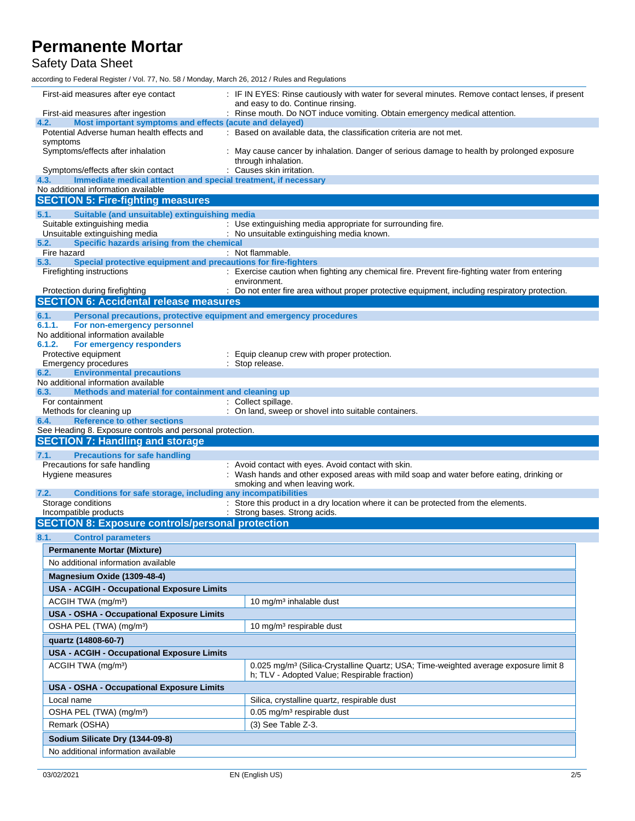Safety Data Sheet

according to Federal Register / Vol. 77, No. 58 / Monday, March 26, 2012 / Rules and Regulations

| First-aid measures after eye contact                                                                           | : IF IN EYES: Rinse cautiously with water for several minutes. Remove contact lenses, if present                                                |  |  |  |
|----------------------------------------------------------------------------------------------------------------|-------------------------------------------------------------------------------------------------------------------------------------------------|--|--|--|
| First-aid measures after ingestion                                                                             | and easy to do. Continue rinsing.<br>: Rinse mouth. Do NOT induce vomiting. Obtain emergency medical attention.                                 |  |  |  |
| Most important symptoms and effects (acute and delayed)<br>4.2.                                                |                                                                                                                                                 |  |  |  |
| Potential Adverse human health effects and<br>symptoms                                                         | : Based on available data, the classification criteria are not met.                                                                             |  |  |  |
| Symptoms/effects after inhalation                                                                              | : May cause cancer by inhalation. Danger of serious damage to health by prolonged exposure<br>through inhalation.                               |  |  |  |
| Symptoms/effects after skin contact                                                                            | : Causes skin irritation.                                                                                                                       |  |  |  |
| 4.3.<br>Immediate medical attention and special treatment, if necessary<br>No additional information available |                                                                                                                                                 |  |  |  |
| <b>SECTION 5: Fire-fighting measures</b>                                                                       |                                                                                                                                                 |  |  |  |
|                                                                                                                |                                                                                                                                                 |  |  |  |
| 5.1.<br>Suitable (and unsuitable) extinguishing media<br>Suitable extinguishing media                          | : Use extinguishing media appropriate for surrounding fire.                                                                                     |  |  |  |
| Unsuitable extinguishing media                                                                                 | : No unsuitable extinguishing media known.                                                                                                      |  |  |  |
| Specific hazards arising from the chemical<br>5.2.                                                             |                                                                                                                                                 |  |  |  |
| Fire hazard                                                                                                    | : Not flammable.                                                                                                                                |  |  |  |
| Special protective equipment and precautions for fire-fighters<br>5.3.<br>Firefighting instructions            | : Exercise caution when fighting any chemical fire. Prevent fire-fighting water from entering                                                   |  |  |  |
|                                                                                                                | environment.                                                                                                                                    |  |  |  |
| Protection during firefighting                                                                                 | : Do not enter fire area without proper protective equipment, including respiratory protection.                                                 |  |  |  |
| <b>SECTION 6: Accidental release measures</b>                                                                  |                                                                                                                                                 |  |  |  |
| 6.1.<br>Personal precautions, protective equipment and emergency procedures                                    |                                                                                                                                                 |  |  |  |
| 6.1.1.<br>For non-emergency personnel                                                                          |                                                                                                                                                 |  |  |  |
| No additional information available<br>6.1.2.<br>For emergency responders                                      |                                                                                                                                                 |  |  |  |
| Protective equipment                                                                                           | Equip cleanup crew with proper protection.                                                                                                      |  |  |  |
| <b>Emergency procedures</b>                                                                                    | : Stop release.                                                                                                                                 |  |  |  |
| <b>Environmental precautions</b><br>6.2.                                                                       |                                                                                                                                                 |  |  |  |
| No additional information available<br>6.3.<br>Methods and material for containment and cleaning up            |                                                                                                                                                 |  |  |  |
| For containment                                                                                                | : Collect spillage.                                                                                                                             |  |  |  |
| Methods for cleaning up                                                                                        | : On land, sweep or shovel into suitable containers.                                                                                            |  |  |  |
| <b>Reference to other sections</b><br>6.4.                                                                     |                                                                                                                                                 |  |  |  |
| See Heading 8. Exposure controls and personal protection.                                                      |                                                                                                                                                 |  |  |  |
| <b>SECTION 7: Handling and storage</b>                                                                         |                                                                                                                                                 |  |  |  |
| <b>Precautions for safe handling</b><br>7.1.<br>Precautions for safe handling                                  | : Avoid contact with eyes. Avoid contact with skin.                                                                                             |  |  |  |
| Hygiene measures                                                                                               | Wash hands and other exposed areas with mild soap and water before eating, drinking or                                                          |  |  |  |
|                                                                                                                | smoking and when leaving work.                                                                                                                  |  |  |  |
| Conditions for safe storage, including any incompatibilities<br>7.2.                                           |                                                                                                                                                 |  |  |  |
| Storage conditions<br>Incompatible products                                                                    | : Store this product in a dry location where it can be protected from the elements.<br>: Strong bases. Strong acids.                            |  |  |  |
| <b>SECTION 8: Exposure controls/personal protection</b>                                                        |                                                                                                                                                 |  |  |  |
|                                                                                                                |                                                                                                                                                 |  |  |  |
| 8.1.<br><b>Control parameters</b>                                                                              |                                                                                                                                                 |  |  |  |
| <b>Permanente Mortar (Mixture)</b>                                                                             |                                                                                                                                                 |  |  |  |
| No additional information available                                                                            |                                                                                                                                                 |  |  |  |
| Magnesium Oxide (1309-48-4)                                                                                    |                                                                                                                                                 |  |  |  |
| <b>USA - ACGIH - Occupational Exposure Limits</b>                                                              |                                                                                                                                                 |  |  |  |
| ACGIH TWA (mg/m <sup>3</sup> )                                                                                 | 10 mg/m <sup>3</sup> inhalable dust                                                                                                             |  |  |  |
| USA - OSHA - Occupational Exposure Limits                                                                      |                                                                                                                                                 |  |  |  |
| OSHA PEL (TWA) (mg/m <sup>3</sup> )                                                                            | 10 mg/m <sup>3</sup> respirable dust                                                                                                            |  |  |  |
| quartz (14808-60-7)                                                                                            |                                                                                                                                                 |  |  |  |
| <b>USA - ACGIH - Occupational Exposure Limits</b>                                                              |                                                                                                                                                 |  |  |  |
| ACGIH TWA (mg/m <sup>3</sup> )                                                                                 | 0.025 mg/m <sup>3</sup> (Silica-Crystalline Quartz; USA; Time-weighted average exposure limit 8<br>h; TLV - Adopted Value; Respirable fraction) |  |  |  |
| USA - OSHA - Occupational Exposure Limits                                                                      |                                                                                                                                                 |  |  |  |
| Local name                                                                                                     | Silica, crystalline quartz, respirable dust                                                                                                     |  |  |  |
| OSHA PEL (TWA) (mg/m <sup>3</sup> )                                                                            |                                                                                                                                                 |  |  |  |
| Remark (OSHA)                                                                                                  |                                                                                                                                                 |  |  |  |
|                                                                                                                | 0.05 mg/m <sup>3</sup> respirable dust                                                                                                          |  |  |  |
|                                                                                                                | $(3)$ See Table Z-3.                                                                                                                            |  |  |  |
| Sodium Silicate Dry (1344-09-8)<br>No additional information available                                         |                                                                                                                                                 |  |  |  |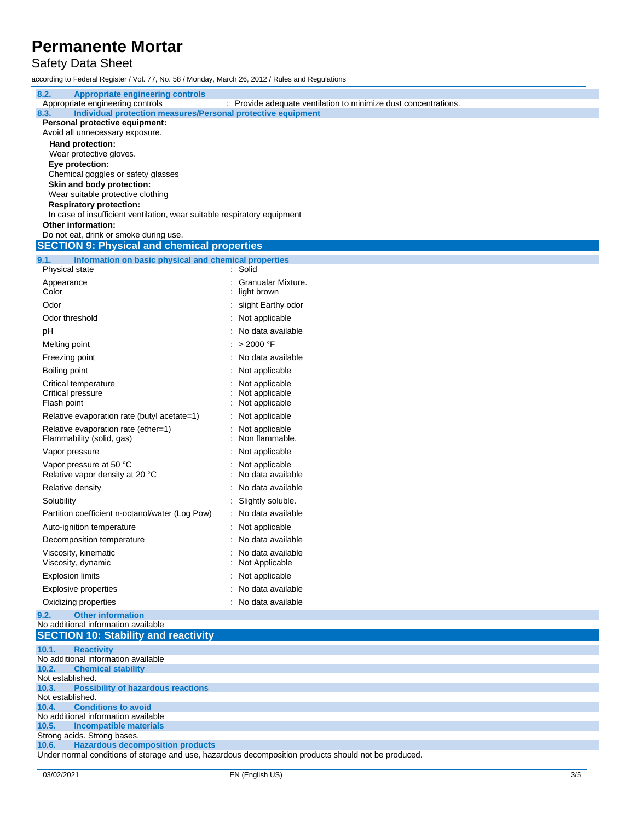## Safety Data Sheet

according to Federal Register / Vol. 77, No. 58 / Monday, March 26, 2012 / Rules and Regulations

| 8.2.<br><b>Appropriate engineering controls</b><br>Appropriate engineering controls          | : Provide adequate ventilation to minimize dust concentrations.                                      |
|----------------------------------------------------------------------------------------------|------------------------------------------------------------------------------------------------------|
| Individual protection measures/Personal protective equipment<br>8.3.                         |                                                                                                      |
| Personal protective equipment:                                                               |                                                                                                      |
| Avoid all unnecessary exposure.<br>Hand protection:                                          |                                                                                                      |
| Wear protective gloves.                                                                      |                                                                                                      |
| Eye protection:                                                                              |                                                                                                      |
| Chemical goggles or safety glasses                                                           |                                                                                                      |
| Skin and body protection:                                                                    |                                                                                                      |
| Wear suitable protective clothing<br><b>Respiratory protection:</b>                          |                                                                                                      |
| In case of insufficient ventilation, wear suitable respiratory equipment                     |                                                                                                      |
| Other information:                                                                           |                                                                                                      |
| Do not eat, drink or smoke during use.<br><b>SECTION 9: Physical and chemical properties</b> |                                                                                                      |
|                                                                                              |                                                                                                      |
| 9.1.<br>Information on basic physical and chemical properties<br>Physical state              | : Solid                                                                                              |
| Appearance                                                                                   | : Granualar Mixture.                                                                                 |
| Color                                                                                        | light brown                                                                                          |
| Odor                                                                                         | : slight Earthy odor                                                                                 |
| Odor threshold                                                                               | : Not applicable                                                                                     |
| рH                                                                                           | : No data available                                                                                  |
| Melting point                                                                                | : > 2000 °F                                                                                          |
| Freezing point                                                                               | : No data available                                                                                  |
| Boiling point                                                                                | : Not applicable                                                                                     |
| Critical temperature                                                                         | Not applicable                                                                                       |
| Critical pressure                                                                            | : Not applicable                                                                                     |
| Flash point                                                                                  | : Not applicable                                                                                     |
| Relative evaporation rate (butyl acetate=1)                                                  | : Not applicable                                                                                     |
| Relative evaporation rate (ether=1)<br>Flammability (solid, gas)                             | : Not applicable<br>Non flammable.                                                                   |
| Vapor pressure                                                                               | : Not applicable                                                                                     |
| Vapor pressure at 50 °C<br>Relative vapor density at 20 °C                                   | Not applicable<br>: No data available                                                                |
| Relative density                                                                             | : No data available                                                                                  |
| Solubility                                                                                   | : Slightly soluble.                                                                                  |
| Partition coefficient n-octanol/water (Log Pow)                                              | : No data available                                                                                  |
| Auto-ignition temperature                                                                    | : Not applicable                                                                                     |
| Decomposition temperature                                                                    | : No data available                                                                                  |
| Viscosity, kinematic<br>Viscosity, dynamic                                                   | No data available<br>: Not Applicable                                                                |
| <b>Explosion limits</b>                                                                      | : Not applicable                                                                                     |
| <b>Explosive properties</b>                                                                  | : No data available                                                                                  |
| Oxidizing properties                                                                         | : No data available                                                                                  |
| <b>Other information</b><br>9.2.                                                             |                                                                                                      |
| No additional information available<br><b>SECTION 10: Stability and reactivity</b>           |                                                                                                      |
| 10.1.<br><b>Reactivity</b>                                                                   |                                                                                                      |
| No additional information available<br>10.2.<br><b>Chemical stability</b>                    |                                                                                                      |
| Not established.                                                                             |                                                                                                      |
| 10.3.<br><b>Possibility of hazardous reactions</b><br>Not established.                       |                                                                                                      |
| <b>Conditions to avoid</b><br>10.4.                                                          |                                                                                                      |
| No additional information available                                                          |                                                                                                      |
| 10.5.<br><b>Incompatible materials</b><br>Strong acids. Strong bases.                        |                                                                                                      |
| <b>Hazardous decomposition products</b><br>10.6.                                             |                                                                                                      |
|                                                                                              | Under normal conditions of storage and use, hazardous decomposition products should not be produced. |
|                                                                                              |                                                                                                      |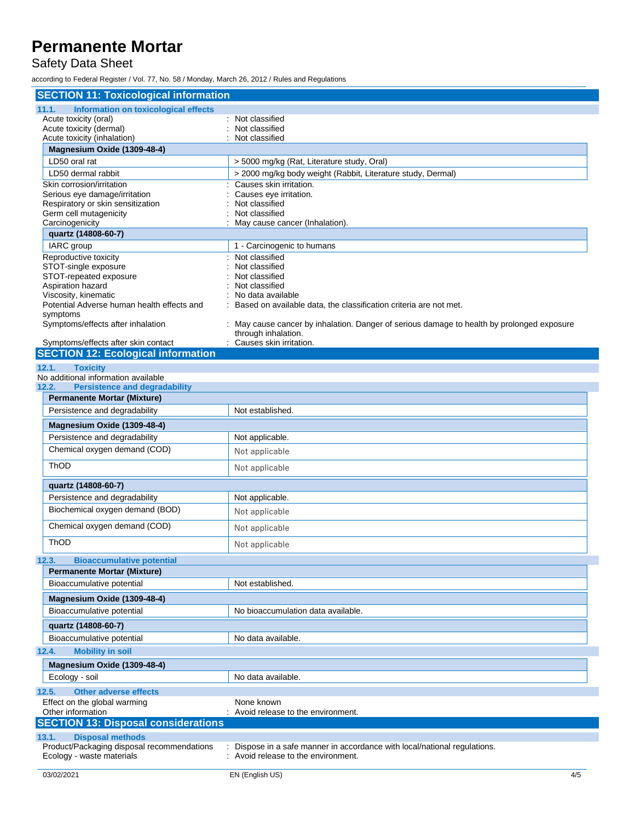## Safety Data Sheet

according to Federal Register / Vol. 77, No. 58 / Monday, March 26, 2012 / Rules and Regulations

| <b>SECTION 11: Toxicological information</b>               |                                                                                          |  |  |  |  |
|------------------------------------------------------------|------------------------------------------------------------------------------------------|--|--|--|--|
| Information on toxicological effects<br>11.1.              |                                                                                          |  |  |  |  |
| Acute toxicity (oral)                                      | : Not classified                                                                         |  |  |  |  |
| Acute toxicity (dermal)                                    | Not classified                                                                           |  |  |  |  |
| Acute toxicity (inhalation)<br>Magnesium Oxide (1309-48-4) | Not classified                                                                           |  |  |  |  |
| LD50 oral rat                                              | > 5000 mg/kg (Rat, Literature study, Oral)                                               |  |  |  |  |
| LD50 dermal rabbit                                         |                                                                                          |  |  |  |  |
| Skin corrosion/irritation                                  | > 2000 mg/kg body weight (Rabbit, Literature study, Dermal)<br>Causes skin irritation.   |  |  |  |  |
| Serious eye damage/irritation                              | Causes eye irritation.                                                                   |  |  |  |  |
| Respiratory or skin sensitization                          | Not classified                                                                           |  |  |  |  |
| Germ cell mutagenicity                                     | Not classified                                                                           |  |  |  |  |
| Carcinogenicity                                            | May cause cancer (Inhalation).                                                           |  |  |  |  |
| quartz (14808-60-7)                                        |                                                                                          |  |  |  |  |
| IARC group                                                 | 1 - Carcinogenic to humans                                                               |  |  |  |  |
| Reproductive toxicity<br>STOT-single exposure              | Not classified<br>Not classified                                                         |  |  |  |  |
| STOT-repeated exposure                                     | Not classified                                                                           |  |  |  |  |
| Aspiration hazard                                          | Not classified                                                                           |  |  |  |  |
| Viscosity, kinematic                                       | No data available                                                                        |  |  |  |  |
| Potential Adverse human health effects and                 | Based on available data, the classification criteria are not met.                        |  |  |  |  |
| symptoms<br>Symptoms/effects after inhalation              | May cause cancer by inhalation. Danger of serious damage to health by prolonged exposure |  |  |  |  |
|                                                            | through inhalation.                                                                      |  |  |  |  |
| Symptoms/effects after skin contact                        | Causes skin irritation.                                                                  |  |  |  |  |
| <b>SECTION 12: Ecological information</b>                  |                                                                                          |  |  |  |  |
| 12.1.<br><b>Toxicity</b>                                   |                                                                                          |  |  |  |  |
| No additional information available                        |                                                                                          |  |  |  |  |
| 12.2.<br><b>Persistence and degradability</b>              |                                                                                          |  |  |  |  |
| <b>Permanente Mortar (Mixture)</b>                         |                                                                                          |  |  |  |  |
| Persistence and degradability                              | Not established.                                                                         |  |  |  |  |
| Magnesium Oxide (1309-48-4)                                |                                                                                          |  |  |  |  |
| Persistence and degradability                              | Not applicable.                                                                          |  |  |  |  |
| Chemical oxygen demand (COD)                               | Not applicable                                                                           |  |  |  |  |
| <b>ThOD</b>                                                | Not applicable                                                                           |  |  |  |  |
| quartz (14808-60-7)                                        |                                                                                          |  |  |  |  |
| Persistence and degradability                              | Not applicable.                                                                          |  |  |  |  |
| Biochemical oxygen demand (BOD)                            | Not applicable                                                                           |  |  |  |  |
| Chemical oxygen demand (COD)                               | Not applicable                                                                           |  |  |  |  |
| ThOD                                                       |                                                                                          |  |  |  |  |
|                                                            | Not applicable                                                                           |  |  |  |  |
| <b>Bioaccumulative potential</b><br>12.3.                  |                                                                                          |  |  |  |  |
| <b>Permanente Mortar (Mixture)</b>                         |                                                                                          |  |  |  |  |
| Bioaccumulative potential                                  | Not established.                                                                         |  |  |  |  |
| Magnesium Oxide (1309-48-4)                                |                                                                                          |  |  |  |  |
| Bioaccumulative potential                                  | No bioaccumulation data available.                                                       |  |  |  |  |
| quartz (14808-60-7)                                        |                                                                                          |  |  |  |  |
| Bioaccumulative potential                                  | No data available.                                                                       |  |  |  |  |
| 12.4.<br><b>Mobility in soil</b>                           |                                                                                          |  |  |  |  |
| Magnesium Oxide (1309-48-4)                                |                                                                                          |  |  |  |  |
| Ecology - soil                                             | No data available.                                                                       |  |  |  |  |
| 12.5.<br><b>Other adverse effects</b>                      |                                                                                          |  |  |  |  |
| Effect on the global warming                               | None known                                                                               |  |  |  |  |
| Other information                                          | : Avoid release to the environment.                                                      |  |  |  |  |
| <b>SECTION 13: Disposal considerations</b>                 |                                                                                          |  |  |  |  |
| 13.1.<br><b>Disposal methods</b>                           |                                                                                          |  |  |  |  |
| Product/Packaging disposal recommendations                 | Dispose in a safe manner in accordance with local/national regulations.                  |  |  |  |  |
| Ecology - waste materials                                  | : Avoid release to the environment.                                                      |  |  |  |  |